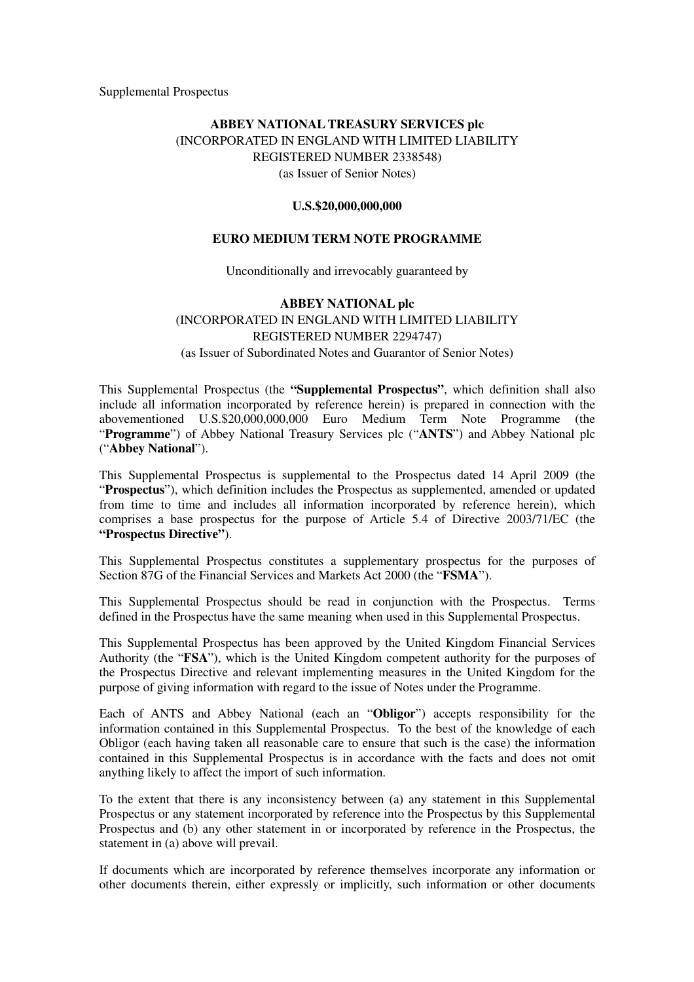Supplemental Prospectus

# **ABBEY NATIONAL TREASURY SERVICES plc** (INCORPORATED IN ENGLAND WITH LIMITED LIABILITY REGISTERED NUMBER 2338548) (as Issuer of Senior Notes)

#### **U.S.\$20,000,000,000**

### **EURO MEDIUM TERM NOTE PROGRAMME**

Unconditionally and irrevocably guaranteed by

# **ABBEY NATIONAL plc** (INCORPORATED IN ENGLAND WITH LIMITED LIABILITY REGISTERED NUMBER 2294747) (as Issuer of Subordinated Notes and Guarantor of Senior Notes)

This Supplemental Prospectus (the **"Supplemental Prospectus"**, which definition shall also include all information incorporated by reference herein) is prepared in connection with the abovementioned U.S.\$20,000,000,000 Euro Medium Term Note Programme (the "**Programme**") of Abbey National Treasury Services plc ("**ANTS**") and Abbey National plc ("**Abbey National**").

This Supplemental Prospectus is supplemental to the Prospectus dated 14 April 2009 (the "**Prospectus**"), which definition includes the Prospectus as supplemented, amended or updated from time to time and includes all information incorporated by reference herein), which comprises a base prospectus for the purpose of Article 5.4 of Directive 2003/71/EC (the **"Prospectus Directive"**).

This Supplemental Prospectus constitutes a supplementary prospectus for the purposes of Section 87G of the Financial Services and Markets Act 2000 (the "**FSMA**").

This Supplemental Prospectus should be read in conjunction with the Prospectus. Terms defined in the Prospectus have the same meaning when used in this Supplemental Prospectus.

This Supplemental Prospectus has been approved by the United Kingdom Financial Services Authority (the "**FSA**"), which is the United Kingdom competent authority for the purposes of the Prospectus Directive and relevant implementing measures in the United Kingdom for the purpose of giving information with regard to the issue of Notes under the Programme.

Each of ANTS and Abbey National (each an "**Obligor**") accepts responsibility for the information contained in this Supplemental Prospectus. To the best of the knowledge of each Obligor (each having taken all reasonable care to ensure that such is the case) the information contained in this Supplemental Prospectus is in accordance with the facts and does not omit anything likely to affect the import of such information.

To the extent that there is any inconsistency between (a) any statement in this Supplemental Prospectus or any statement incorporated by reference into the Prospectus by this Supplemental Prospectus and (b) any other statement in or incorporated by reference in the Prospectus, the statement in (a) above will prevail.

If documents which are incorporated by reference themselves incorporate any information or other documents therein, either expressly or implicitly, such information or other documents